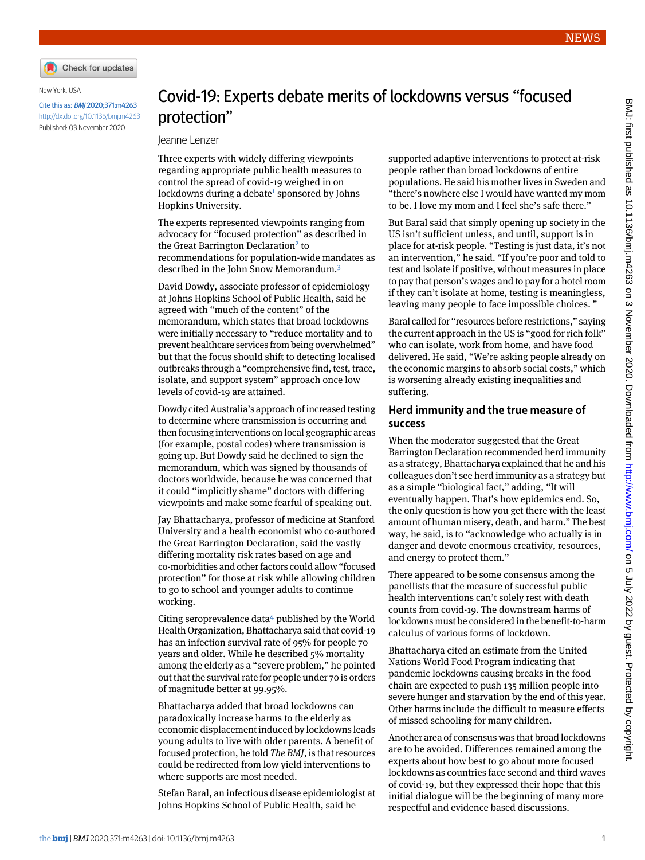

New York, USA

Cite this as: BMJ 2020;371:m4263 <http://dx.doi.org/10.1136/bmj.m4263> Published: 03 November 2020

## Covid-19: Experts debate merits of lockdowns versus "focused protection"

## Jeanne Lenzer

Three experts with widely differing viewpoints regarding appropriate public health measures to control the spread of covid-19 weighed in on  $\rm lockdowns$  during a debate $^{\rm 1}$  $^{\rm 1}$  $^{\rm 1}$  sponsored by Johns Hopkins University.

The experts represented viewpoints ranging from advocacy for "focused protection" as described in the Great Barrington Declaration<sup>[2](#page-1-1)</sup> to recommendations for population-wide mandates as described in the John Snow Memorandum.[3](#page-1-2)

David Dowdy, associate professor of epidemiology at Johns Hopkins School of Public Health, said he agreed with "much of the content" of the memorandum, which states that broad lockdowns were initially necessary to "reduce mortality and to prevent healthcare services from being overwhelmed" but that the focus should shift to detecting localised outbreaks through a "comprehensive find, test, trace, isolate, and support system" approach once low levels of covid-19 are attained.

Dowdy cited Australia's approach of increased testing to determine where transmission is occurring and then focusing interventions on local geographic areas (for example, postal codes) where transmission is going up. But Dowdy said he declined to sign the memorandum, which was signed by thousands of doctors worldwide, because he was concerned that it could "implicitly shame" doctors with differing viewpoints and make some fearful of speaking out.

Jay Bhattacharya, professor of medicine at Stanford University and a health economist who co-authored the Great Barrington Declaration, said the vastly differing mortality risk rates based on age and co-morbidities and other factors could allow "focused protection" for those at risk while allowing children to go to school and younger adults to continue working.

Citing seroprevalence data $4$  published by the World Health Organization, Bhattacharya said that covid-19 has an infection survival rate of 95% for people 70 years and older. While he described 5% mortality among the elderly as a "severe problem," he pointed out that the survival rate for people under 70 is orders of magnitude better at 99.95%.

Bhattacharya added that broad lockdowns can paradoxically increase harms to the elderly as economic displacement induced by lockdowns leads young adults to live with older parents. A benefit of focused protection, he told *The BMJ*, is that resources could be redirected from low yield interventions to where supports are most needed.

Stefan Baral, an infectious disease epidemiologist at Johns Hopkins School of Public Health, said he

supported adaptive interventions to protect at-risk people rather than broad lockdowns of entire populations. He said his mother lives in Sweden and "there's nowhere else I would have wanted my mom to be. I love my mom and I feel she's safe there."

But Baral said that simply opening up society in the US isn't sufficient unless, and until, support is in place for at-risk people. "Testing is just data, it's not an intervention," he said. "If you're poor and told to test and isolate if positive, without measures in place to pay that person's wages and to pay for a hotel room if they can't isolate at home, testing is meaningless, leaving many people to face impossible choices. "

Baral called for "resources before restrictions," saying the current approach in the US is "good for rich folk" who can isolate, work from home, and have food delivered. He said, "We're asking people already on the economic margins to absorb social costs," which is worsening already existing inequalities and suffering.

## **Herd immunity and the true measure of success**

When the moderator suggested that the Great Barrington Declaration recommended herd immunity as a strategy, Bhattacharya explained that he and his colleagues don't see herd immunity as a strategy but as a simple "biological fact," adding, "It will eventually happen. That's how epidemics end. So, the only question is how you get there with the least amount of human misery, death, and harm." The best way, he said, is to "acknowledge who actually is in danger and devote enormous creativity, resources, and energy to protect them."

There appeared to be some consensus among the panellists that the measure of successful public health interventions can't solely rest with death counts from covid-19. The downstream harms of lockdowns must be considered in the benefit-to-harm calculus of various forms of lockdown.

Bhattacharya cited an estimate from the United Nations World Food Program indicating that pandemic lockdowns causing breaks in the food chain are expected to push 135 million people into severe hunger and starvation by the end of this year. Other harms include the difficult to measure effects of missed schooling for many children.

Another area of consensus was that broad lockdowns are to be avoided. Differences remained among the experts about how best to go about more focused lockdowns as countries face second and third waves of covid-19, but they expressed their hope that this initial dialogue will be the beginning of many more respectful and evidence based discussions.